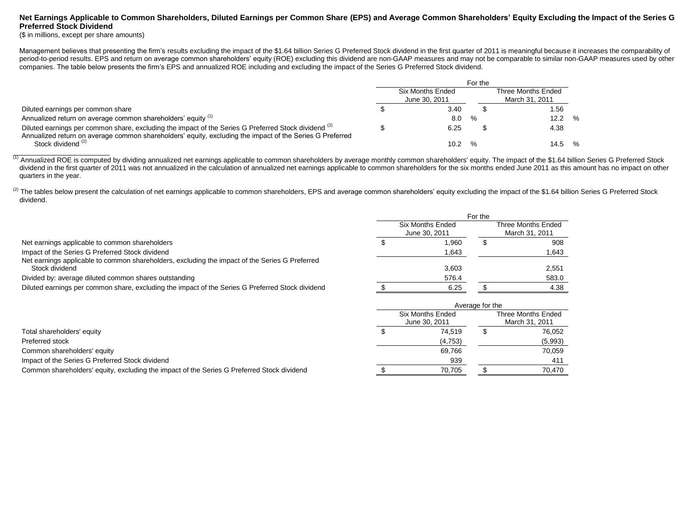## **Net Earnings Applicable to Common Shareholders, Diluted Earnings per Common Share (EPS) and Average Common Shareholders' Equity Excluding the Impact of the Series G Preferred Stock Dividend**

(\$ in millions, except per share amounts)

Management believes that presenting the firm's results excluding the impact of the \$1.64 billion Series G Preferred Stock dividend in the first quarter of 2011 is meaningful because it increases the comparability of period-to-period results. EPS and return on average common shareholders' equity (ROE) excluding this dividend are non-GAAP measures and may not be comparable to similar non-GAAP measures used by other companies. The table below presents the firm's EPS and annualized ROE including and excluding the impact of the Series G Preferred Stock dividend.

|                                                                                                                                                                                                                  | For the |                                          |               |                                      |      |        |
|------------------------------------------------------------------------------------------------------------------------------------------------------------------------------------------------------------------|---------|------------------------------------------|---------------|--------------------------------------|------|--------|
|                                                                                                                                                                                                                  |         | <b>Six Months Ended</b><br>June 30, 2011 |               | Three Months Ended<br>March 31, 2011 |      |        |
| Diluted earnings per common share                                                                                                                                                                                |         | 3.40                                     |               |                                      | 1.56 |        |
| Annualized return on average common shareholders' equity (1)                                                                                                                                                     |         | 8.0                                      | $\frac{0}{6}$ |                                      | 12.2 | $\%$   |
| Diluted earnings per common share, excluding the impact of the Series G Preferred Stock dividend (2)<br>Annualized return on average common shareholders' equity, excluding the impact of the Series G Preferred |         | 6.25                                     |               |                                      | 4.38 |        |
| Stock dividend (2)                                                                                                                                                                                               |         | 10.2                                     |               |                                      |      | 14.5 % |

(1) Annualized ROE is computed by dividing annualized net earnings applicable to common shareholders by average monthly common shareholders' equity. The impact of the \$1.64 billion Series G Preferred Stock dividend in the first quarter of 2011 was not annualized in the calculation of annualized net earnings applicable to common shareholders for the six months ended June 2011 as this amount has no impact on other quarters in the year.

<sup>(2)</sup> The tables below present the calculation of net earnings applicable to common shareholders, EPS and average common shareholders' equity excluding the impact of the \$1.64 billion Series G Preferred Stock dividend.

|                                                                                                                  | For the |                                          |                                      |       |  |
|------------------------------------------------------------------------------------------------------------------|---------|------------------------------------------|--------------------------------------|-------|--|
|                                                                                                                  |         | <b>Six Months Ended</b><br>June 30, 2011 | Three Months Ended<br>March 31, 2011 |       |  |
| Net earnings applicable to common shareholders                                                                   |         | .960                                     |                                      | 908   |  |
| Impact of the Series G Preferred Stock dividend                                                                  |         | .643                                     |                                      | 1,643 |  |
| Net earnings applicable to common shareholders, excluding the impact of the Series G Preferred<br>Stock dividend |         | 3.603                                    |                                      | 2.551 |  |
| Divided by: average diluted common shares outstanding                                                            |         | 576.4                                    |                                      | 583.0 |  |
| Diluted earnings per common share, excluding the impact of the Series G Preferred Stock dividend                 |         | 6.25                                     |                                      | 4.38  |  |

|                                                                                            | Average for the |                                          |                                      |         |  |
|--------------------------------------------------------------------------------------------|-----------------|------------------------------------------|--------------------------------------|---------|--|
|                                                                                            |                 | <b>Six Months Ended</b><br>June 30, 2011 | Three Months Ended<br>March 31, 2011 |         |  |
| Total shareholders' equity                                                                 |                 | 74.519                                   |                                      | 76,052  |  |
| Preferred stock                                                                            |                 | (4,753)                                  |                                      | (5,993) |  |
| Common shareholders' equity                                                                |                 | 69.766                                   |                                      | 70,059  |  |
| Impact of the Series G Preferred Stock dividend                                            |                 | 939                                      |                                      | 411     |  |
| Common shareholders' equity, excluding the impact of the Series G Preferred Stock dividend |                 | 70.705                                   |                                      | 70.470  |  |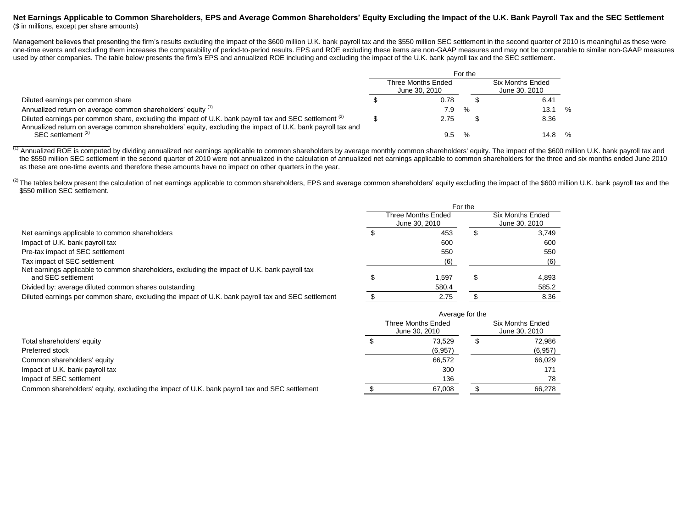### **Net Earnings Applicable to Common Shareholders, EPS and Average Common Shareholders' Equity Excluding the Impact of the U.K. Bank Payroll Tax and the SEC Settlement** (\$ in millions, except per share amounts)

Management believes that presenting the firm's results excluding the impact of the \$600 million U.K. bank payroll tax and the \$550 million SEC settlement in the second quarter of 2010 is meaningful as these were one-time events and excluding them increases the comparability of period-to-period results. EPS and ROE excluding these items are non-GAAP measures and may not be comparable to similar non-GAAP measures used by other companies. The table below presents the firm's EPS and annualized ROE including and excluding the impact of the U.K. bank payroll tax and the SEC settlement.

|                                                                                                                                                                                                                                   | For the |                                     |               |                                   |        |  |  |
|-----------------------------------------------------------------------------------------------------------------------------------------------------------------------------------------------------------------------------------|---------|-------------------------------------|---------------|-----------------------------------|--------|--|--|
|                                                                                                                                                                                                                                   |         | Three Months Ended<br>June 30, 2010 |               | Six Months Ended<br>June 30, 2010 |        |  |  |
| Diluted earnings per common share                                                                                                                                                                                                 |         | 0.78                                |               |                                   | 6.41   |  |  |
| Annualized return on average common shareholders' equity (1)                                                                                                                                                                      |         | 7.9                                 | $\frac{0}{6}$ |                                   | 13.1 % |  |  |
| Diluted earnings per common share, excluding the impact of U.K. bank payroll tax and SEC settlement <sup>(2)</sup><br>Annualized return on average common shareholders' equity, excluding the impact of U.K. bank payroll tax and |         | 2.75                                |               |                                   | 8.36   |  |  |
| SEC settlement <sup>(2)</sup>                                                                                                                                                                                                     |         | 9.5                                 | $\frac{O}{c}$ |                                   | 14.8 % |  |  |

(1) Annualized ROE is computed by dividing annualized net earnings applicable to common shareholders by average monthly common shareholders' equity. The impact of the \$600 million U.K. bank payroll tax and the \$550 million SEC settlement in the second quarter of 2010 were not annualized in the calculation of annualized net earnings applicable to common shareholders for the three and six months ended June 2010 as these are one-time events and therefore these amounts have no impact on other quarters in the year.

<sup>(2)</sup> The tables below present the calculation of net earnings applicable to common shareholders, EPS and average common shareholders' equity excluding the impact of the \$600 million U.K. bank payroll tax and the \$550 million SEC settlement.

|                                                                                                                     | For the |                                            |  |                                          |
|---------------------------------------------------------------------------------------------------------------------|---------|--------------------------------------------|--|------------------------------------------|
|                                                                                                                     |         | <b>Three Months Ended</b><br>June 30, 2010 |  | <b>Six Months Ended</b><br>June 30, 2010 |
| Net earnings applicable to common shareholders                                                                      |         | 453                                        |  | 3,749                                    |
| Impact of U.K. bank payroll tax                                                                                     |         | 600                                        |  | 600                                      |
| Pre-tax impact of SEC settlement                                                                                    |         | 550                                        |  | 550                                      |
| Tax impact of SEC settlement                                                                                        |         | (6)                                        |  | (6)                                      |
| Net earnings applicable to common shareholders, excluding the impact of U.K. bank payroll tax<br>and SEC settlement |         | 1.597                                      |  | 4,893                                    |
| Divided by: average diluted common shares outstanding                                                               |         | 580.4                                      |  | 585.2                                    |
| Diluted earnings per common share, excluding the impact of U.K. bank payroll tax and SEC settlement                 |         | 2.75                                       |  | 8.36                                     |
|                                                                                                                     |         | Average for the                            |  |                                          |
|                                                                                                                     |         | Throp Monthe Endod                         |  | Siv Monthe Endod                         |

| Total shareholders' equity                                                                    |  | Three Months Ended<br>June 30, 2010 |  | Six Months Ended<br>June 30, 2010 |  |
|-----------------------------------------------------------------------------------------------|--|-------------------------------------|--|-----------------------------------|--|
|                                                                                               |  | 73.529                              |  | 72.986                            |  |
| Preferred stock                                                                               |  | (6,957)                             |  | (6,957)                           |  |
| Common shareholders' equity                                                                   |  | 66,572                              |  | 66,029                            |  |
| Impact of U.K. bank payroll tax                                                               |  | 300                                 |  | 171                               |  |
| Impact of SEC settlement                                                                      |  | 136                                 |  | 78                                |  |
| Common shareholders' equity, excluding the impact of U.K. bank payroll tax and SEC settlement |  | 67.008                              |  | 66.278                            |  |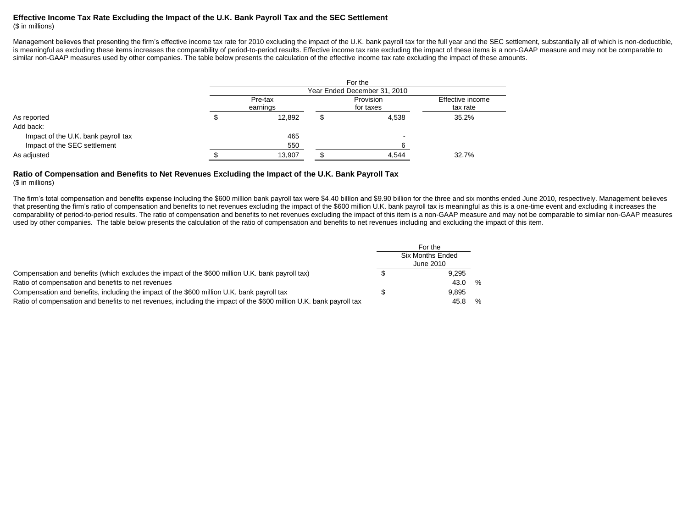# **Effective Income Tax Rate Excluding the Impact of the U.K. Bank Payroll Tax and the SEC Settlement**

(\$ in millions)

Management believes that presenting the firm's effective income tax rate for 2010 excluding the impact of the U.K. bank payroll tax for the full year and the SEC settlement, substantially all of which is non-deductible, is meaningful as excluding these items increases the comparability of period-to-period results. Effective income tax rate excluding the impact of these items is a non-GAAP measure and may not be comparable to similar non-GAAP measures used by other companies. The table below presents the calculation of the effective income tax rate excluding the impact of these amounts.

| Year Ended December 31, 2010 |        |  |                        |                              |  |  |  |  |
|------------------------------|--------|--|------------------------|------------------------------|--|--|--|--|
| Pre-tax<br>earnings          |        |  | Provision<br>for taxes | Effective income<br>tax rate |  |  |  |  |
|                              | 12,892 |  | 4,538                  | 35.2%                        |  |  |  |  |
|                              |        |  |                        |                              |  |  |  |  |
|                              | 465    |  |                        |                              |  |  |  |  |
|                              | 550    |  |                        |                              |  |  |  |  |
|                              | 13,907 |  | 4,544                  | 32.7%                        |  |  |  |  |
|                              |        |  |                        | For the                      |  |  |  |  |

#### **Ratio of Compensation and Benefits to Net Revenues Excluding the Impact of the U.K. Bank Payroll Tax** (\$ in millions)

The firm's total compensation and benefits expense including the \$600 million bank payroll tax were \$4.40 billion and \$9.90 billion for the three and six months ended June 2010, respectively. Management believes that presenting the firm's ratio of compensation and benefits to net revenues excluding the impact of the \$600 million U.K. bank payroll tax is meaningful as this is a one-time event and excluding it increases the comparability of period-to-period results. The ratio of compensation and benefits to net revenues excluding the impact of this item is a non-GAAP measure and may not be comparable to similar non-GAAP measures used by other companies. The table below presents the calculation of the ratio of compensation and benefits to net revenues including and excluding the impact of this item.

|                                                                                                                     | For the<br><b>Six Months Ended</b><br>June 2010 |   |
|---------------------------------------------------------------------------------------------------------------------|-------------------------------------------------|---|
| Compensation and benefits (which excludes the impact of the \$600 million U.K. bank payroll tax)                    | 9.295                                           |   |
| Ratio of compensation and benefits to net revenues                                                                  | 43.0                                            | % |
| Compensation and benefits, including the impact of the \$600 million U.K. bank payroll tax                          | 9.895                                           |   |
| Ratio of compensation and benefits to net revenues, including the impact of the \$600 million U.K. bank payroll tax | 45                                              | % |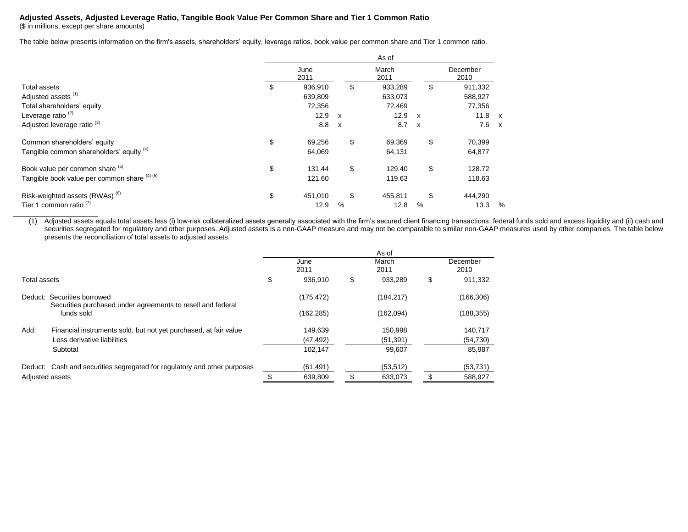## **Adjusted Assets, Adjusted Leverage Ratio, Tangible Book Value Per Common Share and Tier 1 Common Ratio**

(\$ in millions, except per share amounts)

The table below presents information on the firm's assets, shareholders' equity, leverage ratios, book value per common share and Tier 1 common ratio.

|                                                                                     |                                    |                                                        | As of                              |                                                        |                                    |   |
|-------------------------------------------------------------------------------------|------------------------------------|--------------------------------------------------------|------------------------------------|--------------------------------------------------------|------------------------------------|---|
|                                                                                     | June<br>2011                       |                                                        | March<br>2011                      |                                                        | December<br>2010                   |   |
| <b>Total assets</b><br>Adjusted assets <sup>(1)</sup><br>Total shareholders' equity | \$<br>936,910<br>639,809<br>72,356 |                                                        | \$<br>933,289<br>633,073<br>72,469 |                                                        | \$<br>911,332<br>588,927<br>77,356 |   |
| Leverage ratio <sup>(2)</sup><br>Adjusted leverage ratio <sup>(3)</sup>             | 12.9<br>8.8                        | $\boldsymbol{\mathsf{x}}$<br>$\boldsymbol{\mathsf{x}}$ | 12.9<br>8.7                        | $\boldsymbol{\mathsf{x}}$<br>$\boldsymbol{\mathsf{x}}$ | $11.8 \times$<br>$7.6 \times$      |   |
| Common shareholders' equity<br>Tangible common shareholders' equity (4)             | \$<br>69,256<br>64,069             |                                                        | \$<br>69,369<br>64,131             |                                                        | \$<br>70,399<br>64,877             |   |
| Book value per common share (5)<br>Tangible book value per common share (4) (5)     | \$<br>131.44<br>121.60             |                                                        | \$<br>129.40<br>119.63             |                                                        | \$<br>128.72<br>118.63             |   |
| Risk-weighted assets (RWAs) <sup>(6)</sup><br>Tier 1 common ratio $(7)$             | \$<br>451,010<br>12.9              | %                                                      | \$<br>455,811<br>12.8              | %                                                      | \$<br>444,290<br>13.3              | % |

(1) Adjusted assets equals total assets less (i) low-risk collateralized assets generally associated with the firm's secured client financing transactions, federal funds sold and excess liquidity and (ii) cash and securities segregated for regulatory and other purposes. Adjusted assets is a non-GAAP measure and may not be comparable to similar non-GAAP measures used by other companies. The table below presents the reconciliation of total assets to adjusted assets.

|                 |                                                                                            | As of |              |     |               |    |                  |
|-----------------|--------------------------------------------------------------------------------------------|-------|--------------|-----|---------------|----|------------------|
|                 |                                                                                            |       | June<br>2011 |     | March<br>2011 |    | December<br>2010 |
| Total assets    |                                                                                            |       | 936.910      | \$  | 933.289       | \$ | 911,332          |
|                 | Deduct: Securities borrowed<br>Securities purchased under agreements to resell and federal |       | (175, 472)   |     | (184, 217)    |    | (166, 306)       |
|                 | funds sold                                                                                 |       | (162, 285)   |     | (162,094)     |    | (188, 355)       |
| Add:            | Financial instruments sold, but not yet purchased, at fair value                           |       | 149,639      |     | 150,998       |    | 140,717          |
|                 | Less derivative liabilities                                                                |       | (47, 492)    |     | (51, 391)     |    | (54, 730)        |
|                 | Subtotal                                                                                   |       | 102,147      |     | 99,607        |    | 85,987           |
|                 | Deduct: Cash and securities segregated for regulatory and other purposes                   |       | (61, 491)    |     | (53, 512)     |    | (53, 731)        |
| Adjusted assets |                                                                                            |       | 639,809      | \$. | 633,073       | \$ | 588,927          |